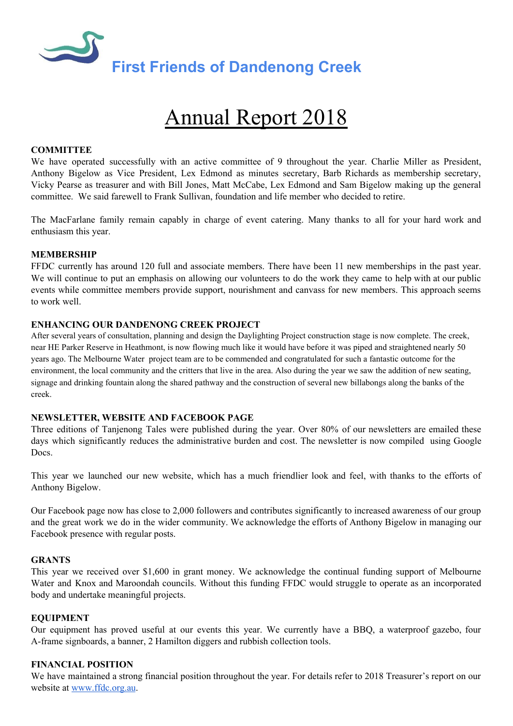

# Annual Report 2018

## **COMMITTEE**

We have operated successfully with an active committee of 9 throughout the year. Charlie Miller as President, Anthony Bigelow as Vice President, Lex Edmond as minutes secretary, Barb Richards as membership secretary, Vicky Pearse as treasurer and with Bill Jones, Matt McCabe, Lex Edmond and Sam Bigelow making up the general committee. We said farewell to Frank Sullivan, foundation and life member who decided to retire.

The MacFarlane family remain capably in charge of event catering. Many thanks to all for your hard work and enthusiasm this year.

### **MEMBERSHIP**

FFDC currently has around 120 full and associate members. There have been 11 new memberships in the past year. We will continue to put an emphasis on allowing our volunteers to do the work they came to help with at our public events while committee members provide support, nourishment and canvass for new members. This approach seems to work well.

#### **ENHANCING OUR DANDENONG CREEK PROJECT**

After several years of consultation, planning and design the Daylighting Project construction stage is now complete. The creek, near HE Parker Reserve in Heathmont, is now flowing much like it would have before it was piped and straightened nearly 50 years ago. The Melbourne Water project team are to be commended and congratulated for such a fantastic outcome for the environment, the local community and the critters that live in the area. Also during the year we saw the addition of new seating, signage and drinking fountain along the shared pathway and the construction of several new billabongs along the banks of the creek.

### **NEWSLETTER, WEBSITE AND FACEBOOK PAGE**

Three editions of Tanjenong Tales were published during the year. Over 80% of our newsletters are emailed these days which significantly reduces the administrative burden and cost. The newsletter is now compiled using Google Docs.

This year we launched our new website, which has a much friendlier look and feel, with thanks to the efforts of Anthony Bigelow.

Our Facebook page now has close to 2,000 followers and contributes significantly to increased awareness of our group and the great work we do in the wider community. We acknowledge the efforts of Anthony Bigelow in managing our Facebook presence with regular posts.

#### **GRANTS**

This year we received over \$1,600 in grant money. We acknowledge the continual funding support of Melbourne Water and Knox and Maroondah councils. Without this funding FFDC would struggle to operate as an incorporated body and undertake meaningful projects.

### **EQUIPMENT**

Our equipment has proved useful at our events this year. We currently have a BBQ, a waterproof gazebo, four A-frame signboards, a banner, 2 Hamilton diggers and rubbish collection tools.

## **FINANCIAL POSITION**

We have maintained a strong financial position throughout the year. For details refer to 2018 Treasurer's report on our website at [www.ffdc.org.au.](http://www.ffdc.org.au/)